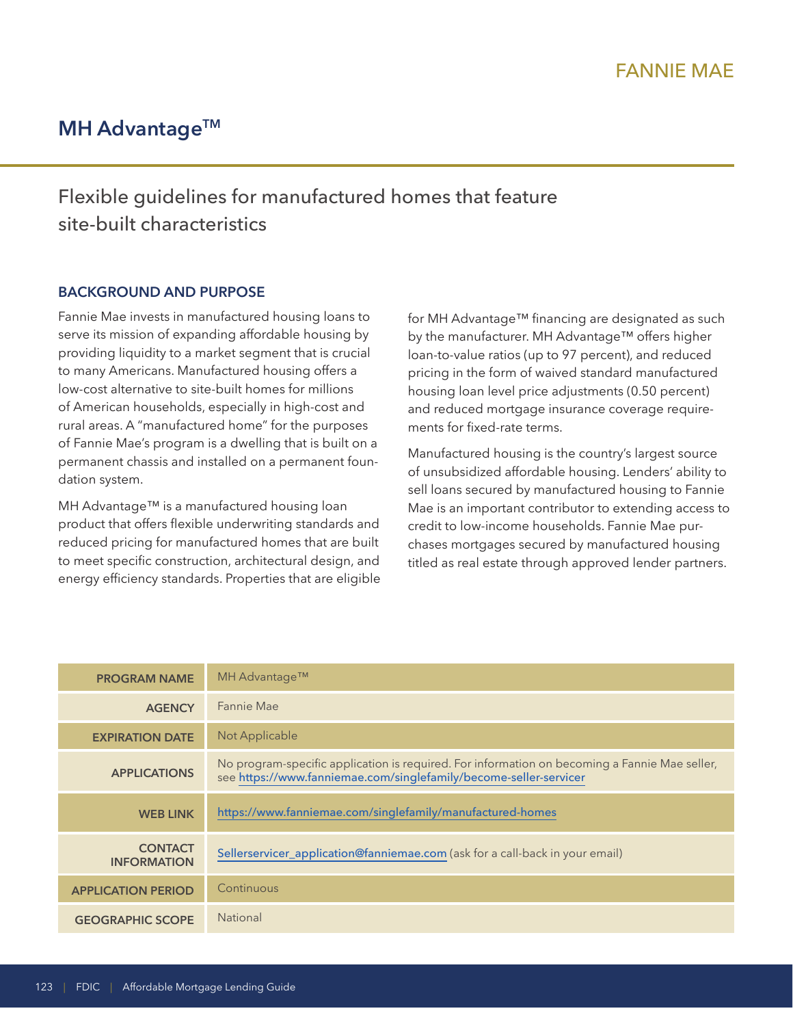# **MH Advantage™**

# Flexible guidelines for manufactured homes that feature site-built characteristics

## **BACKGROUND AND PURPOSE**

Fannie Mae invests in manufactured housing loans to serve its mission of expanding affordable housing by providing liquidity to a market segment that is crucial to many Americans. Manufactured housing offers a low-cost alternative to site-built homes for millions of American households, especially in high-cost and rural areas. A "manufactured home" for the purposes of Fannie Mae's program is a dwelling that is built on a permanent chassis and installed on a permanent foundation system.

MH Advantage™ is a manufactured housing loan product that offers flexible underwriting standards and reduced pricing for manufactured homes that are built to meet specific construction, architectural design, and energy efficiency standards. Properties that are eligible for MH Advantage™ financing are designated as such by the manufacturer. MH Advantage™ offers higher loan-to-value ratios (up to 97 percent), and reduced pricing in the form of waived standard manufactured housing loan level price adjustments (0.50 percent) and reduced mortgage insurance coverage requirements for fixed-rate terms.

Manufactured housing is the country's largest source of unsubsidized affordable housing. Lenders' ability to sell loans secured by manufactured housing to Fannie Mae is an important contributor to extending access to credit to low-income households. Fannie Mae purchases mortgages secured by manufactured housing titled as real estate through approved lender partners.

| <b>PROGRAM NAME</b>                  | MH Advantage™                                                                                                                                                      |
|--------------------------------------|--------------------------------------------------------------------------------------------------------------------------------------------------------------------|
| <b>AGENCY</b>                        | Fannie Mae                                                                                                                                                         |
| <b>EXPIRATION DATE</b>               | Not Applicable                                                                                                                                                     |
| <b>APPLICATIONS</b>                  | No program-specific application is required. For information on becoming a Fannie Mae seller,<br>see https://www.fanniemae.com/singlefamily/become-seller-servicer |
| <b>WEB LINK</b>                      | https://www.fanniemae.com/singlefamily/manufactured-homes                                                                                                          |
| <b>CONTACT</b><br><b>INFORMATION</b> | Sellerservicer_application@fanniemae.com (ask for a call-back in your email)                                                                                       |
| <b>APPLICATION PERIOD</b>            | Continuous                                                                                                                                                         |
| <b>GEOGRAPHIC SCOPE</b>              | <b>National</b>                                                                                                                                                    |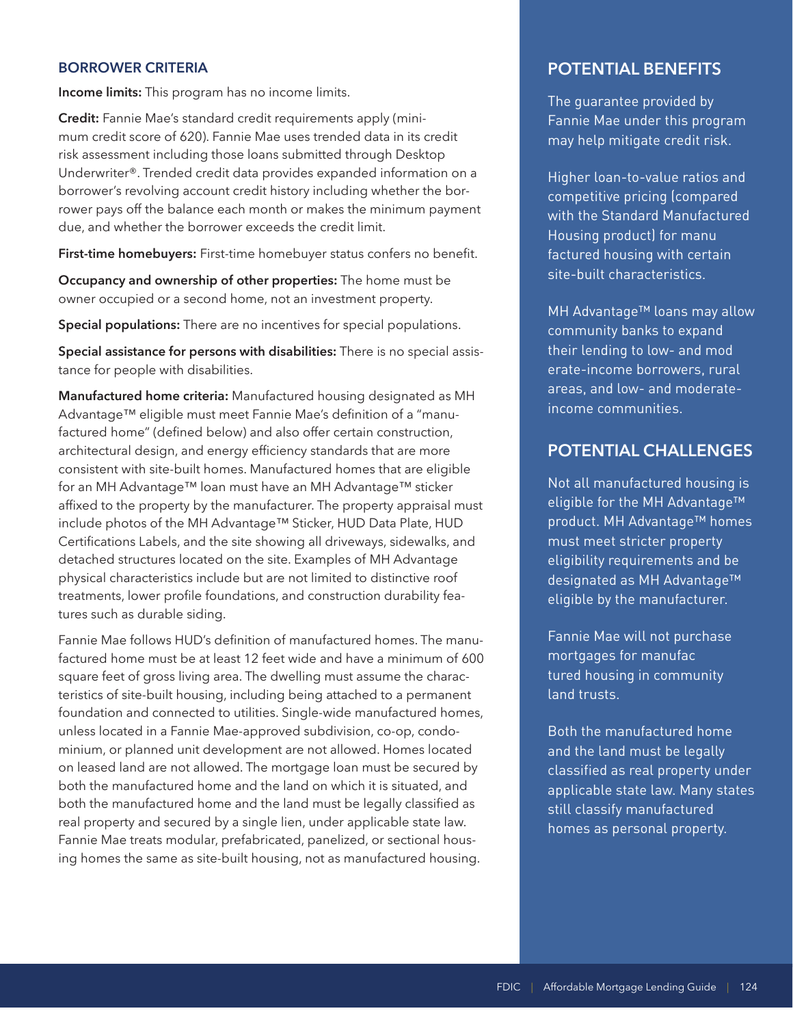### **BORROWER CRITERIA**

**Income limits:** This program has no income limits.

**Credit:** Fannie Mae's standard credit requirements apply (minimum credit score of 620). Fannie Mae uses trended data in its credit risk assessment including those loans submitted through Desktop Underwriter®. Trended credit data provides expanded information on a borrower's revolving account credit history including whether the borrower pays off the balance each month or makes the minimum payment due, and whether the borrower exceeds the credit limit.

**First-time homebuyers:** First-time homebuyer status confers no benefit.

**Occupancy and ownership of other properties:** The home must be owner occupied or a second home, not an investment property.

**Special populations:** There are no incentives for special populations.

**Special assistance for persons with disabilities:** There is no special assistance for people with disabilities.

**Manufactured home criteria:** Manufactured housing designated as MH Advantage™ eligible must meet Fannie Mae's definition of a "manufactured home" (defined below) and also offer certain construction, architectural design, and energy efficiency standards that are more consistent with site-built homes. Manufactured homes that are eligible for an MH Advantage™ loan must have an MH Advantage™ sticker affixed to the property by the manufacturer. The property appraisal must include photos of the MH Advantage™ Sticker, HUD Data Plate, HUD Certifications Labels, and the site showing all driveways, sidewalks, and detached structures located on the site. Examples of MH Advantage physical characteristics include but are not limited to distinctive roof treatments, lower profile foundations, and construction durability features such as durable siding.

Fannie Mae follows HUD's definition of manufactured homes. The manufactured home must be at least 12 feet wide and have a minimum of 600 square feet of gross living area. The dwelling must assume the characteristics of site-built housing, including being attached to a permanent foundation and connected to utilities. Single-wide manufactured homes, unless located in a Fannie Mae-approved subdivision, co-op, condominium, or planned unit development are not allowed. Homes located on leased land are not allowed. The mortgage loan must be secured by both the manufactured home and the land on which it is situated, and both the manufactured home and the land must be legally classified as real property and secured by a single lien, under applicable state law. Fannie Mae treats modular, prefabricated, panelized, or sectional housing homes the same as site-built housing, not as manufactured housing.

## **POTENTIAL BENEFITS**

The guarantee provided by Fannie Mae under this program may help mitigate credit risk.

Housing product) for manu Higher loan-to-value ratios and competitive pricing (compared with the Standard Manufactured factured housing with certain site-built characteristics.

- their lending to low- and mod MH Advantage™ loans may allow community banks to expand erate-income borrowers, rural areas, and low- and moderateincome communities.

## **POTENTIAL CHALLENGES**

Not all manufactured housing is eligible for the MH Advantage™ product. MH Advantage™ homes must meet stricter property eligibility requirements and be designated as MH Advantage™ eligible by the manufacturer.

mortgages for manufac Fannie Mae will not purchase tured housing in community land trusts.

Both the manufactured home and the land must be legally classified as real property under applicable state law. Many states still classify manufactured homes as personal property.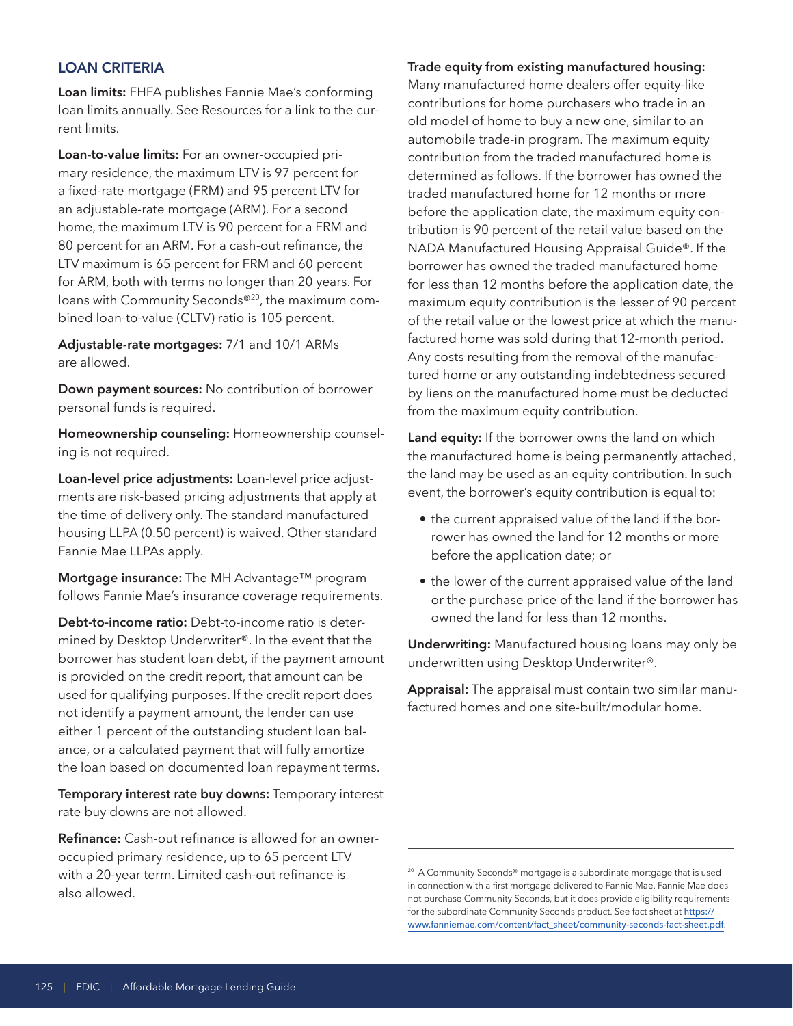## **LOAN CRITERIA**

**Loan limits:** FHFA publishes Fannie Mae's conforming loan limits annually. See Resources for a link to the current limits.

**Loan-to-value limits:** For an owner-occupied primary residence, the maximum LTV is 97 percent for a fixed-rate mortgage (FRM) and 95 percent LTV for an adjustable-rate mortgage (ARM). For a second home, the maximum LTV is 90 percent for a FRM and 80 percent for an ARM. For a cash-out refinance, the LTV maximum is 65 percent for FRM and 60 percent for ARM, both with terms no longer than 20 years. For loans with Community Seconds®20, the maximum combined loan-to-value (CLTV) ratio is 105 percent.

**Adjustable-rate mortgages:** 7/1 and 10/1 ARMs are allowed.

**Down payment sources:** No contribution of borrower personal funds is required.

**Homeownership counseling:** Homeownership counseling is not required.

**Loan-level price adjustments:** Loan-level price adjustments are risk-based pricing adjustments that apply at the time of delivery only. The standard manufactured housing LLPA (0.50 percent) is waived. Other standard Fannie Mae LLPAs apply.

**Mortgage insurance:** The MH Advantage™ program follows Fannie Mae's insurance coverage requirements.

**Debt-to-income ratio:** Debt-to-income ratio is determined by Desktop Underwriter®. In the event that the borrower has student loan debt, if the payment amount is provided on the credit report, that amount can be used for qualifying purposes. If the credit report does not identify a payment amount, the lender can use either 1 percent of the outstanding student loan balance, or a calculated payment that will fully amortize the loan based on documented loan repayment terms.

**Temporary interest rate buy downs:** Temporary interest rate buy downs are not allowed.

**Refinance:** Cash-out refinance is allowed for an owneroccupied primary residence, up to 65 percent LTV with a 20-year term. Limited cash-out refinance is also allowed.

#### **Trade equity from existing manufactured housing:**

Many manufactured home dealers offer equity-like contributions for home purchasers who trade in an old model of home to buy a new one, similar to an automobile trade-in program. The maximum equity contribution from the traded manufactured home is determined as follows. If the borrower has owned the traded manufactured home for 12 months or more before the application date, the maximum equity contribution is 90 percent of the retail value based on the NADA Manufactured Housing Appraisal Guide®. If the borrower has owned the traded manufactured home for less than 12 months before the application date, the maximum equity contribution is the lesser of 90 percent of the retail value or the lowest price at which the manufactured home was sold during that 12-month period. Any costs resulting from the removal of the manufactured home or any outstanding indebtedness secured by liens on the manufactured home must be deducted from the maximum equity contribution.

**Land equity:** If the borrower owns the land on which the manufactured home is being permanently attached, the land may be used as an equity contribution. In such event, the borrower's equity contribution is equal to:

- the current appraised value of the land if the borrower has owned the land for 12 months or more before the application date; or
- the lower of the current appraised value of the land or the purchase price of the land if the borrower has owned the land for less than 12 months.

**Underwriting:** Manufactured housing loans may only be underwritten using Desktop Underwriter®.

**Appraisal:** The appraisal must contain two similar manufactured homes and one site-built/modular home.

 $^{20}$  A Community Seconds® mortgage is a subordinate mortgage that is used in connection with a first mortgage delivered to Fannie Mae. Fannie Mae does not purchase Community Seconds, but it does provide eligibility requirements for the subordinate Community Seconds product. See fact sheet at [https://](https://www.fanniemae.com/content/fact_sheet/community-seconds-fact-sheet.pdf)  [www.fanniemae.com/content/fact\\_sheet/community-seconds-fact-sheet.pdf](https://www.fanniemae.com/content/fact_sheet/community-seconds-fact-sheet.pdf).